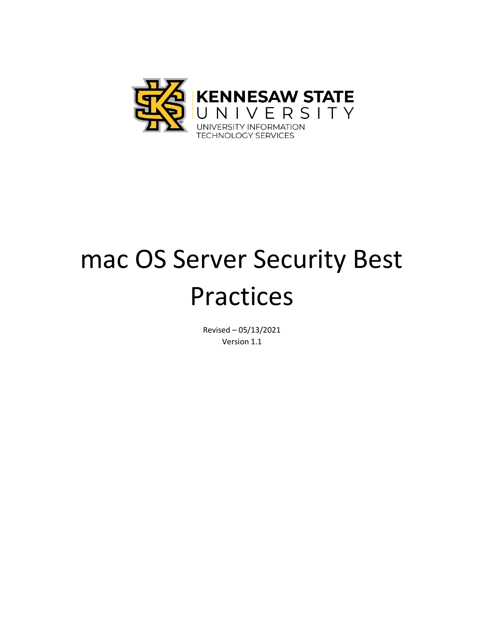

# mac OS Server Security Best Practices

Revised – 05/13/2021 Version 1.1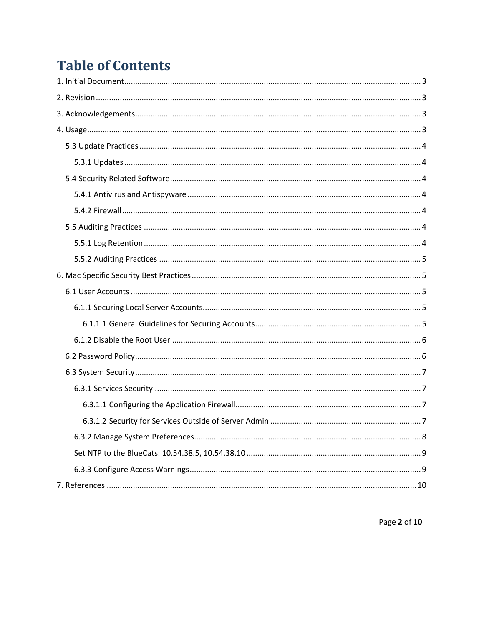# **Table of Contents**

Page 2 of 10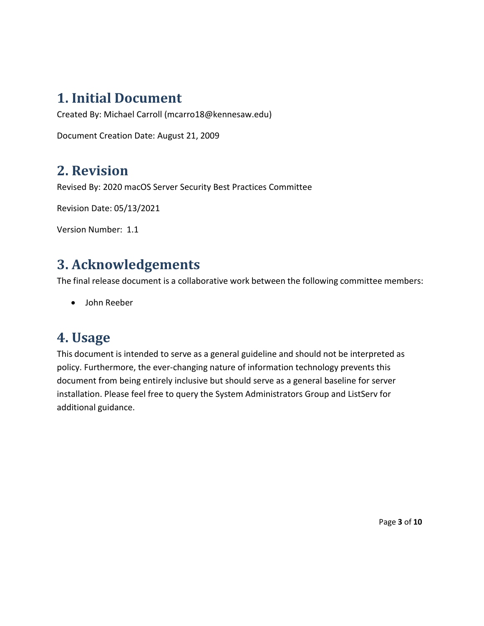# <span id="page-2-0"></span>**1. Initial Document**

Created By: Michael Carroll (mcarro18@kennesaw.edu)

Document Creation Date: August 21, 2009

# <span id="page-2-1"></span>**2. Revision**

Revised By: 2020 macOS Server Security Best Practices Committee

Revision Date: 05/13/2021

Version Number: 1.1

# <span id="page-2-2"></span>**3. Acknowledgements**

The final release document is a collaborative work between the following committee members:

• John Reeber

# <span id="page-2-3"></span>**4. Usage**

This document is intended to serve as a general guideline and should not be interpreted as policy. Furthermore, the ever-changing nature of information technology prevents this document from being entirely inclusive but should serve as a general baseline for server installation. Please feel free to query the System Administrators Group and ListServ for additional guidance.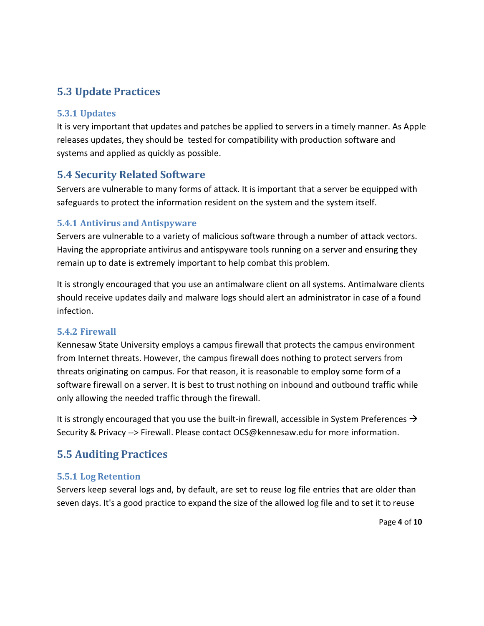## <span id="page-3-0"></span>**5.3 Update Practices**

## <span id="page-3-1"></span>**5.3.1 Updates**

It is very important that updates and patches be applied to servers in a timely manner. As Apple releases updates, they should be tested for compatibility with production software and systems and applied as quickly as possible.

## <span id="page-3-2"></span>**5.4 Security Related Software**

Servers are vulnerable to many forms of attack. It is important that a server be equipped with safeguards to protect the information resident on the system and the system itself.

## <span id="page-3-3"></span>**5.4.1 Antivirus and Antispyware**

Servers are vulnerable to a variety of malicious software through a number of attack vectors. Having the appropriate antivirus and antispyware tools running on a server and ensuring they remain up to date is extremely important to help combat this problem.

It is strongly encouraged that you use an antimalware client on all systems. Antimalware clients should receive updates daily and malware logs should alert an administrator in case of a found infection.

## <span id="page-3-4"></span>**5.4.2 Firewall**

Kennesaw State University employs a campus firewall that protects the campus environment from Internet threats. However, the campus firewall does nothing to protect servers from threats originating on campus. For that reason, it is reasonable to employ some form of a software firewall on a server. It is best to trust nothing on inbound and outbound traffic while only allowing the needed traffic through the firewall.

It is strongly encouraged that you use the built-in firewall, accessible in System Preferences  $\rightarrow$ Security & Privacy --> Firewall. Please contact [OCS@kennesaw.edu](mailto:OCS@kennesaw.edu) for more information.

## <span id="page-3-5"></span>**5.5 Auditing Practices**

## <span id="page-3-6"></span>**5.5.1 Log Retention**

Servers keep several logs and, by default, are set to reuse log file entries that are older than seven days. It's a good practice to expand the size of the allowed log file and to set it to reuse

Page **4** of **10**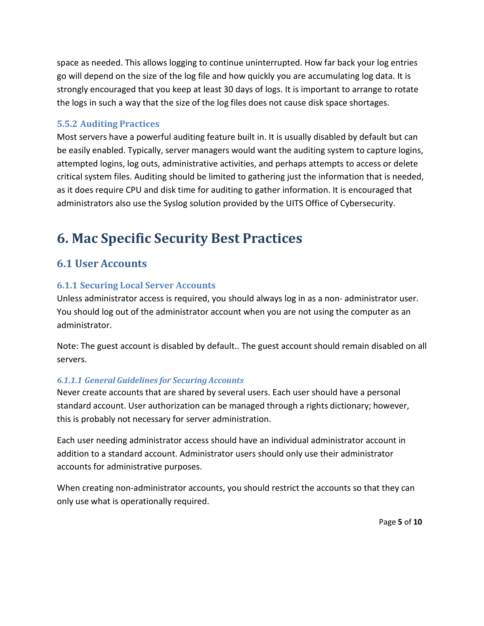space as needed. This allows logging to continue uninterrupted. How far back your log entries go will depend on the size of the log file and how quickly you are accumulating log data. It is strongly encouraged that you keep at least 30 days of logs. It is important to arrange to rotate the logs in such a way that the size of the log files does not cause disk space shortages.

## <span id="page-4-0"></span>**5.5.2 Auditing Practices**

Most servers have a powerful auditing feature built in. It is usually disabled by default but can be easily enabled. Typically, server managers would want the auditing system to capture logins, attempted logins, log outs, administrative activities, and perhaps attempts to access or delete critical system files. Auditing should be limited to gathering just the information that is needed, as it does require CPU and disk time for auditing to gather information. It is encouraged that administrators also use the Syslog solution provided by the UITS Office of Cybersecurity.

# <span id="page-4-1"></span>**6. Mac Specific Security Best Practices**

## <span id="page-4-2"></span>**6.1 User Accounts**

## <span id="page-4-3"></span>**6.1.1 Securing Local Server Accounts**

Unless administrator access is required, you should always log in as a non- administrator user. You should log out of the administrator account when you are not using the computer as an administrator.

Note: The guest account is disabled by default.. The guest account should remain disabled on all servers.

## <span id="page-4-4"></span>*6.1.1.1 General Guidelines for Securing Accounts*

Never create accounts that are shared by several users. Each user should have a personal standard account. User authorization can be managed through a rights dictionary; however, this is probably not necessary for server administration.

Each user needing administrator access should have an individual administrator account in addition to a standard account. Administrator users should only use their administrator accounts for administrative purposes.

When creating non-administrator accounts, you should restrict the accounts so that they can only use what is operationally required.

Page **5** of **10**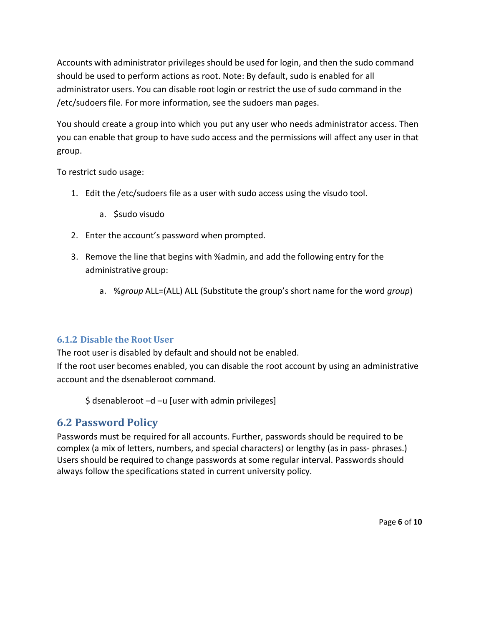Accounts with administrator privileges should be used for login, and then the sudo command should be used to perform actions as root. Note: By default, sudo is enabled for all administrator users. You can disable root login or restrict the use of sudo command in the /etc/sudoers file. For more information, see the sudoers man pages.

You should create a group into which you put any user who needs administrator access. Then you can enable that group to have sudo access and the permissions will affect any user in that group.

To restrict sudo usage:

- 1. Edit the /etc/sudoers file as a user with sudo access using the visudo tool.
	- a. \$sudo visudo
- 2. Enter the account's password when prompted.
- 3. Remove the line that begins with %admin, and add the following entry for the administrative group:
	- a. %*group* ALL=(ALL) ALL (Substitute the group's short name for the word *group*)

## <span id="page-5-0"></span>**6.1.2 Disable the Root User**

The root user is disabled by default and should not be enabled.

If the root user becomes enabled, you can disable the root account by using an administrative account and the dsenableroot command.

\$ dsenableroot –d –u [user with admin privileges]

## <span id="page-5-1"></span>**6.2 Password Policy**

Passwords must be required for all accounts. Further, passwords should be required to be complex (a mix of letters, numbers, and special characters) or lengthy (as in pass- phrases.) Users should be required to change passwords at some regular interval. Passwords should always follow the specifications stated in current university policy.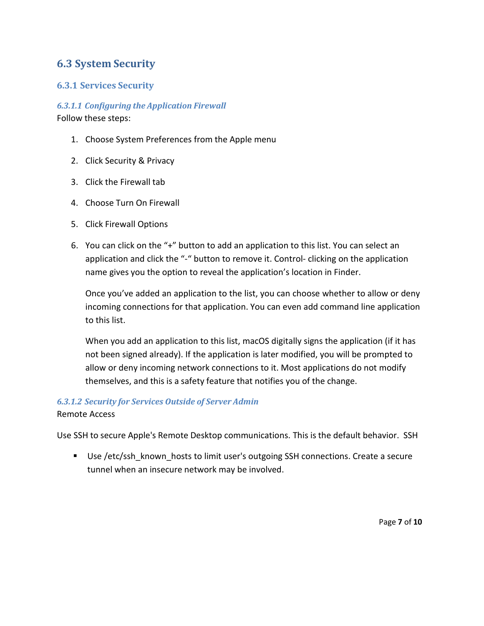## <span id="page-6-0"></span>**6.3 System Security**

## <span id="page-6-1"></span>**6.3.1 Services Security**

## <span id="page-6-2"></span>*6.3.1.1 Configuring the Application Firewall*

Follow these steps:

- 1. Choose System Preferences from the Apple menu
- 2. Click Security & Privacy
- 3. Click the Firewall tab
- 4. Choose Turn On Firewall
- 5. Click Firewall Options
- 6. You can click on the "+" button to add an application to this list. You can select an application and click the "-" button to remove it. Control- clicking on the application name gives you the option to reveal the application's location in Finder.

Once you've added an application to the list, you can choose whether to allow or deny incoming connections for that application. You can even add command line application to this list.

When you add an application to this list, macOS digitally signs the application (if it has not been signed already). If the application is later modified, you will be prompted to allow or deny incoming network connections to it. Most applications do not modify themselves, and this is a safety feature that notifies you of the change.

## <span id="page-6-3"></span>*6.3.1.2 Security for Services Outside of Server Admin*

## Remote Access

Use SSH to secure Apple's Remote Desktop communications. This is the default behavior. SSH

■ Use /etc/ssh\_known\_hosts to limit user's outgoing SSH connections. Create a secure tunnel when an insecure network may be involved.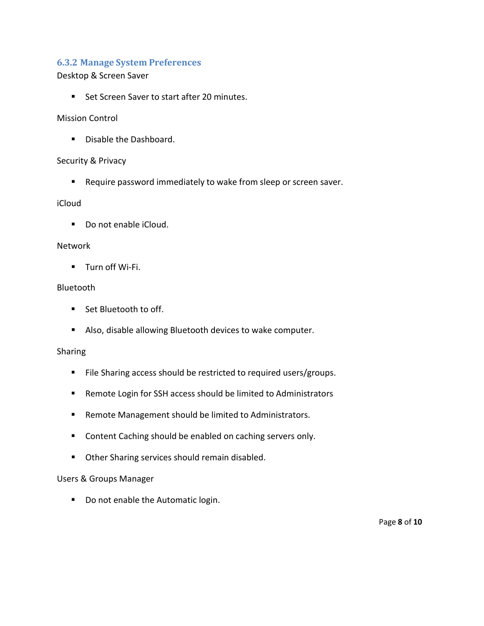## <span id="page-7-0"></span>**6.3.2 Manage System Preferences**

## Desktop & Screen Saver

■ Set Screen Saver to start after 20 minutes.

## Mission Control

Disable the Dashboard.

## Security & Privacy

Require password immediately to wake from sleep or screen saver.

#### iCloud

Do not enable iCloud.

## Network

**Turn off Wi-Fi.** 

#### Bluetooth

- Set Bluetooth to off.
- Also, disable allowing Bluetooth devices to wake computer.

## Sharing

- File Sharing access should be restricted to required users/groups.
- Remote Login for SSH access should be limited to Administrators
- **Remote Management should be limited to Administrators.**
- **Content Caching should be enabled on caching servers only.**
- **Diamage Sharting Services should remain disabled.**

## Users & Groups Manager

Do not enable the Automatic login.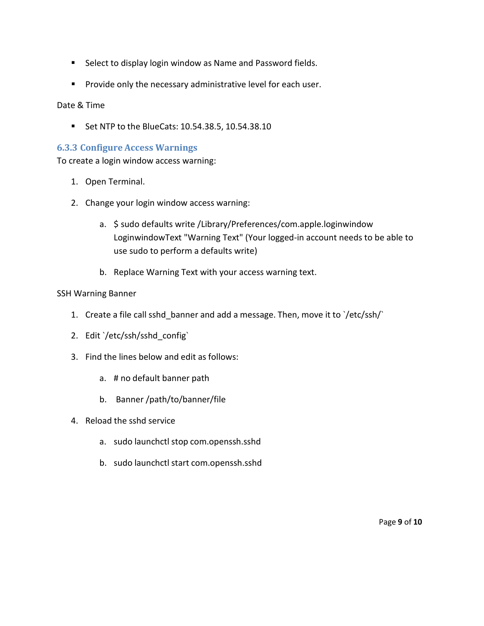- **Select to display login window as Name and Password fields.**
- **Provide only the necessary administrative level for each user.**

## Date & Time

<span id="page-8-0"></span>■ Set NTP to the BlueCats: 10.54.38.5, 10.54.38.10

## <span id="page-8-1"></span>**6.3.3 Configure Access Warnings**

To create a login window access warning:

- 1. Open Terminal.
- 2. Change your login window access warning:
	- a. \$ sudo defaults write /Library/Preferences/com.apple.loginwindow LoginwindowText "Warning Text" (Your logged-in account needs to be able to use sudo to perform a defaults write)
	- b. Replace Warning Text with your access warning text.

## SSH Warning Banner

- 1. Create a file call sshd banner and add a message. Then, move it to `/etc/ssh/`
- 2. Edit `/etc/ssh/sshd config`
- 3. Find the lines below and edit as follows:
	- a. # no default banner path
	- b. Banner /path/to/banner/file
- 4. Reload the sshd service
	- a. sudo launchctl stop com.openssh.sshd
	- b. sudo launchctl start com.openssh.sshd